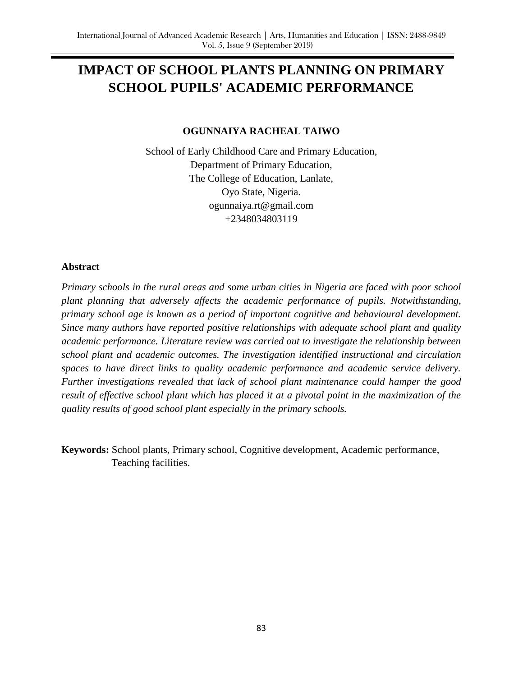# **IMPACT OF SCHOOL PLANTS PLANNING ON PRIMARY SCHOOL PUPILS' ACADEMIC PERFORMANCE**

## **OGUNNAIYA RACHEAL TAIWO**

School of Early Childhood Care and Primary Education, Department of Primary Education, The College of Education, Lanlate, Oyo State, Nigeria. ogunnaiya.rt@gmail.com +2348034803119

### **Abstract**

*Primary schools in the rural areas and some urban cities in Nigeria are faced with poor school plant planning that adversely affects the academic performance of pupils. Notwithstanding, primary school age is known as a period of important cognitive and behavioural development. Since many authors have reported positive relationships with adequate school plant and quality academic performance. Literature review was carried out to investigate the relationship between school plant and academic outcomes. The investigation identified instructional and circulation spaces to have direct links to quality academic performance and academic service delivery. Further investigations revealed that lack of school plant maintenance could hamper the good result of effective school plant which has placed it at a pivotal point in the maximization of the quality results of good school plant especially in the primary schools.* 

**Keywords:** School plants, Primary school, Cognitive development, Academic performance, Teaching facilities.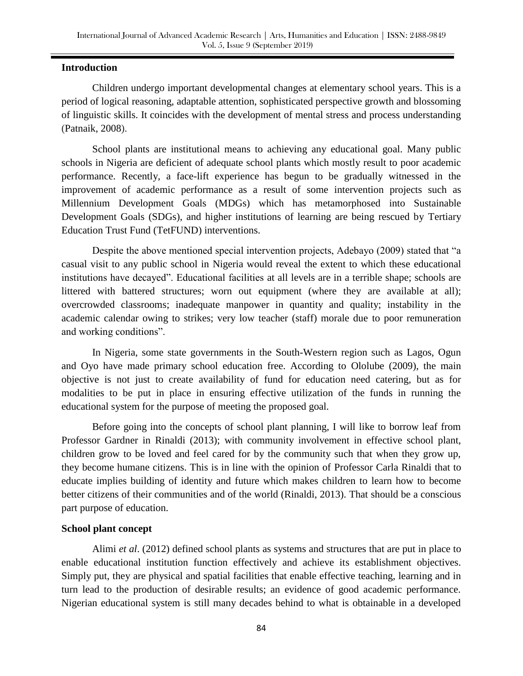## **Introduction**

Children undergo important developmental changes at elementary school years. This is a period of logical reasoning, adaptable attention, sophisticated perspective growth and blossoming of linguistic skills. It coincides with the development of mental stress and process understanding (Patnaik, 2008).

School plants are institutional means to achieving any educational goal. Many public schools in Nigeria are deficient of adequate school plants which mostly result to poor academic performance. Recently, a face-lift experience has begun to be gradually witnessed in the improvement of academic performance as a result of some intervention projects such as Millennium Development Goals (MDGs) which has metamorphosed into Sustainable Development Goals (SDGs), and higher institutions of learning are being rescued by Tertiary Education Trust Fund (TetFUND) interventions.

Despite the above mentioned special intervention projects, Adebayo (2009) stated that "a casual visit to any public school in Nigeria would reveal the extent to which these educational institutions have decayed". Educational facilities at all levels are in a terrible shape; schools are littered with battered structures; worn out equipment (where they are available at all); overcrowded classrooms; inadequate manpower in quantity and quality; instability in the academic calendar owing to strikes; very low teacher (staff) morale due to poor remuneration and working conditions".

In Nigeria, some state governments in the South-Western region such as Lagos, Ogun and Oyo have made primary school education free. According to Ololube (2009), the main objective is not just to create availability of fund for education need catering, but as for modalities to be put in place in ensuring effective utilization of the funds in running the educational system for the purpose of meeting the proposed goal.

Before going into the concepts of school plant planning, I will like to borrow leaf from Professor Gardner in Rinaldi (2013); with community involvement in effective school plant, children grow to be loved and feel cared for by the community such that when they grow up, they become humane citizens. This is in line with the opinion of Professor Carla Rinaldi that to educate implies building of identity and future which makes children to learn how to become better citizens of their communities and of the world (Rinaldi, 2013). That should be a conscious part purpose of education.

### **School plant concept**

Alimi *et al*. (2012) defined school plants as systems and structures that are put in place to enable educational institution function effectively and achieve its establishment objectives. Simply put, they are physical and spatial facilities that enable effective teaching, learning and in turn lead to the production of desirable results; an evidence of good academic performance. Nigerian educational system is still many decades behind to what is obtainable in a developed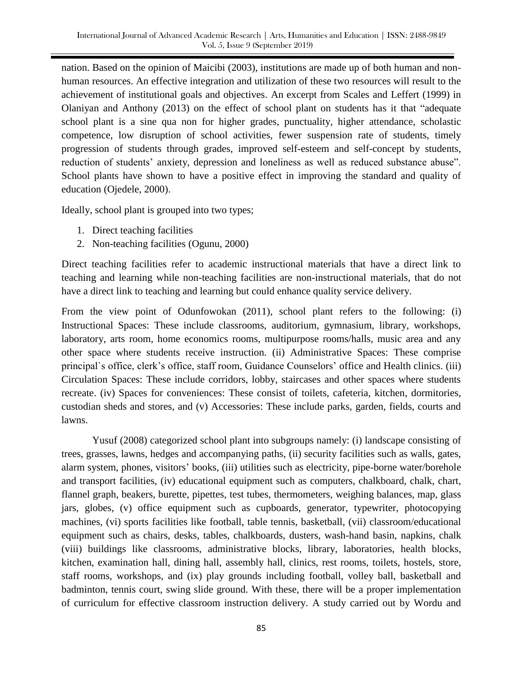nation. Based on the opinion of Maicibi (2003), institutions are made up of both human and nonhuman resources. An effective integration and utilization of these two resources will result to the achievement of institutional goals and objectives. An excerpt from Scales and Leffert (1999) in Olaniyan and Anthony (2013) on the effect of school plant on students has it that "adequate school plant is a sine qua non for higher grades, punctuality, higher attendance, scholastic competence, low disruption of school activities, fewer suspension rate of students, timely progression of students through grades, improved self-esteem and self-concept by students, reduction of students' anxiety, depression and loneliness as well as reduced substance abuse". School plants have shown to have a positive effect in improving the standard and quality of education (Ojedele, 2000).

Ideally, school plant is grouped into two types;

- 1. Direct teaching facilities
- 2. Non-teaching facilities (Ogunu, 2000)

Direct teaching facilities refer to academic instructional materials that have a direct link to teaching and learning while non-teaching facilities are non-instructional materials, that do not have a direct link to teaching and learning but could enhance quality service delivery.

From the view point of Odunfowokan (2011), school plant refers to the following: (i) Instructional Spaces: These include classrooms, auditorium, gymnasium, library, workshops, laboratory, arts room, home economics rooms, multipurpose rooms/halls, music area and any other space where students receive instruction. (ii) Administrative Spaces: These comprise principal`s office, clerk's office, staff room, Guidance Counselors' office and Health clinics. (iii) Circulation Spaces: These include corridors, lobby, staircases and other spaces where students recreate. (iv) Spaces for conveniences: These consist of toilets, cafeteria, kitchen, dormitories, custodian sheds and stores, and (v) Accessories: These include parks, garden, fields, courts and lawns.

Yusuf (2008) categorized school plant into subgroups namely: (i) landscape consisting of trees, grasses, lawns, hedges and accompanying paths, (ii) security facilities such as walls, gates, alarm system, phones, visitors' books, (iii) utilities such as electricity, pipe-borne water/borehole and transport facilities, (iv) educational equipment such as computers, chalkboard, chalk, chart, flannel graph, beakers, burette, pipettes, test tubes, thermometers, weighing balances, map, glass jars, globes, (v) office equipment such as cupboards, generator, typewriter, photocopying machines, (vi) sports facilities like football, table tennis, basketball, (vii) classroom/educational equipment such as chairs, desks, tables, chalkboards, dusters, wash-hand basin, napkins, chalk (viii) buildings like classrooms, administrative blocks, library, laboratories, health blocks, kitchen, examination hall, dining hall, assembly hall, clinics, rest rooms, toilets, hostels, store, staff rooms, workshops, and (ix) play grounds including football, volley ball, basketball and badminton, tennis court, swing slide ground. With these, there will be a proper implementation of curriculum for effective classroom instruction delivery. A study carried out by Wordu and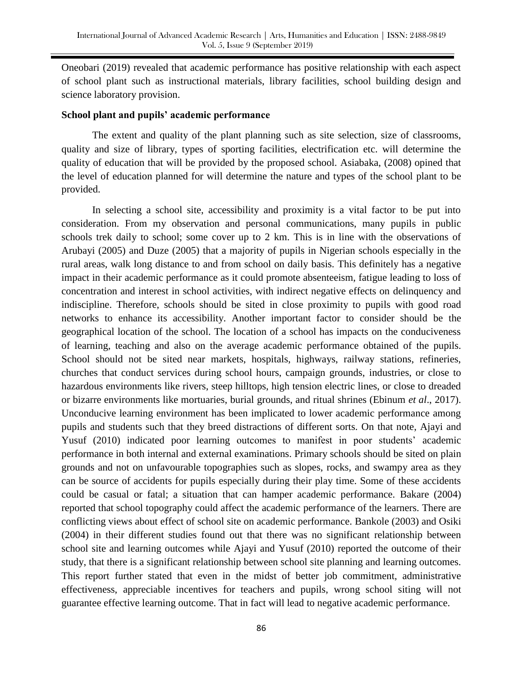Oneobari (2019) revealed that academic performance has positive relationship with each aspect of school plant such as instructional materials, library facilities, school building design and science laboratory provision.

#### **School plant and pupils' academic performance**

The extent and quality of the plant planning such as site selection, size of classrooms, quality and size of library, types of sporting facilities, electrification etc. will determine the quality of education that will be provided by the proposed school. Asiabaka, (2008) opined that the level of education planned for will determine the nature and types of the school plant to be provided.

In selecting a school site, accessibility and proximity is a vital factor to be put into consideration. From my observation and personal communications, many pupils in public schools trek daily to school; some cover up to 2 km. This is in line with the observations of Arubayi (2005) and Duze (2005) that a majority of pupils in Nigerian schools especially in the rural areas, walk long distance to and from school on daily basis. This definitely has a negative impact in their academic performance as it could promote absenteeism, fatigue leading to loss of concentration and interest in school activities, with indirect negative effects on delinquency and indiscipline. Therefore, schools should be sited in close proximity to pupils with good road networks to enhance its accessibility. Another important factor to consider should be the geographical location of the school. The location of a school has impacts on the conduciveness of learning, teaching and also on the average academic performance obtained of the pupils. School should not be sited near markets, hospitals, highways, railway stations, refineries, churches that conduct services during school hours, campaign grounds, industries, or close to hazardous environments like rivers, steep hilltops, high tension electric lines, or close to dreaded or bizarre environments like mortuaries, burial grounds, and ritual shrines (Ebinum *et al*., 2017). Unconducive learning environment has been implicated to lower academic performance among pupils and students such that they breed distractions of different sorts. On that note, Ajayi and Yusuf (2010) indicated poor learning outcomes to manifest in poor students' academic performance in both internal and external examinations. Primary schools should be sited on plain grounds and not on unfavourable topographies such as slopes, rocks, and swampy area as they can be source of accidents for pupils especially during their play time. Some of these accidents could be casual or fatal; a situation that can hamper academic performance. Bakare (2004) reported that school topography could affect the academic performance of the learners. There are conflicting views about effect of school site on academic performance. Bankole (2003) and Osiki (2004) in their different studies found out that there was no significant relationship between school site and learning outcomes while Ajayi and Yusuf (2010) reported the outcome of their study, that there is a significant relationship between school site planning and learning outcomes. This report further stated that even in the midst of better job commitment, administrative effectiveness, appreciable incentives for teachers and pupils, wrong school siting will not guarantee effective learning outcome. That in fact will lead to negative academic performance.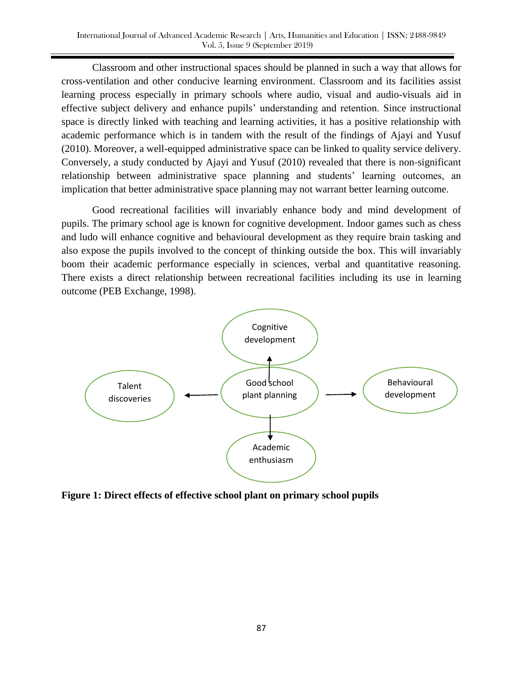Classroom and other instructional spaces should be planned in such a way that allows for cross-ventilation and other conducive learning environment. Classroom and its facilities assist learning process especially in primary schools where audio, visual and audio-visuals aid in effective subject delivery and enhance pupils' understanding and retention. Since instructional space is directly linked with teaching and learning activities, it has a positive relationship with academic performance which is in tandem with the result of the findings of Ajayi and Yusuf (2010). Moreover, a well-equipped administrative space can be linked to quality service delivery. Conversely, a study conducted by Ajayi and Yusuf (2010) revealed that there is non-significant relationship between administrative space planning and students' learning outcomes, an implication that better administrative space planning may not warrant better learning outcome.

Good recreational facilities will invariably enhance body and mind development of pupils. The primary school age is known for cognitive development. Indoor games such as chess and ludo will enhance cognitive and behavioural development as they require brain tasking and also expose the pupils involved to the concept of thinking outside the box. This will invariably boom their academic performance especially in sciences, verbal and quantitative reasoning. There exists a direct relationship between recreational facilities including its use in learning outcome (PEB Exchange, 1998).



**Figure 1: Direct effects of effective school plant on primary school pupils**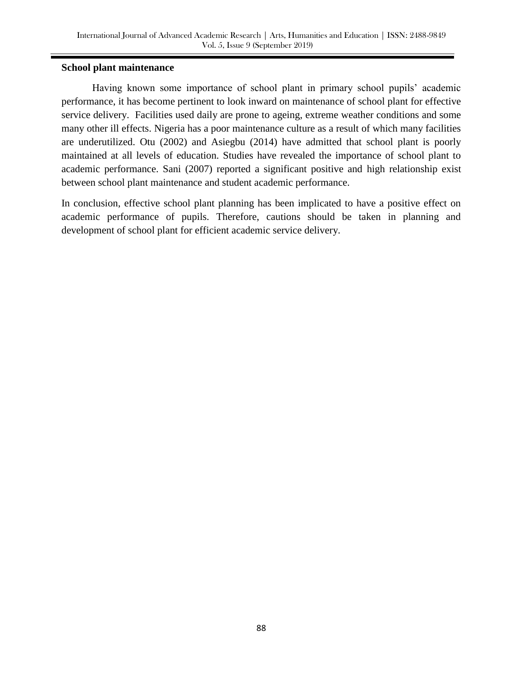# **School plant maintenance**

Having known some importance of school plant in primary school pupils' academic performance, it has become pertinent to look inward on maintenance of school plant for effective service delivery. Facilities used daily are prone to ageing, extreme weather conditions and some many other ill effects. Nigeria has a poor maintenance culture as a result of which many facilities are underutilized. Otu (2002) and Asiegbu (2014) have admitted that school plant is poorly maintained at all levels of education. Studies have revealed the importance of school plant to academic performance. Sani (2007) reported a significant positive and high relationship exist between school plant maintenance and student academic performance.

In conclusion, effective school plant planning has been implicated to have a positive effect on academic performance of pupils. Therefore, cautions should be taken in planning and development of school plant for efficient academic service delivery.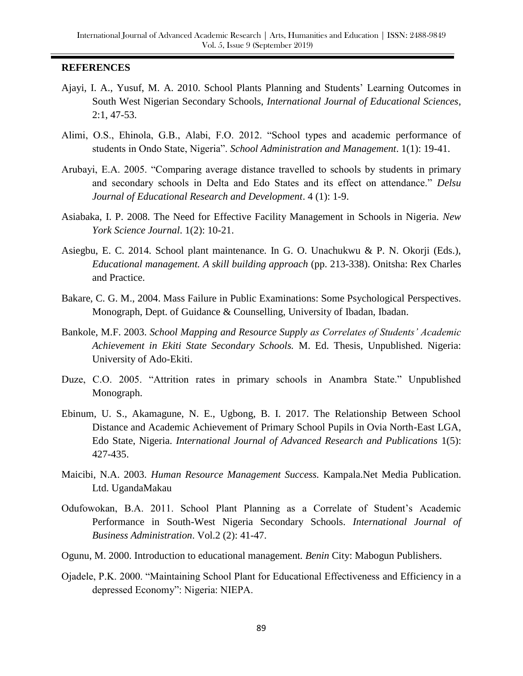#### **REFERENCES**

- Ajayi, I. A., Yusuf, M. A. 2010. School Plants Planning and Students' Learning Outcomes in South West Nigerian Secondary Schools, *International Journal of Educational Sciences*, 2:1, 47-53.
- Alimi, O.S., Ehinola, G.B., Alabi, F.O. 2012. "School types and academic performance of students in Ondo State, Nigeria". *School Administration and Management*. 1(1): 19-41.
- Arubayi, E.A. 2005. "Comparing average distance travelled to schools by students in primary and secondary schools in Delta and Edo States and its effect on attendance." *Delsu Journal of Educational Research and Development*. 4 (1): 1-9.
- Asiabaka, I. P. 2008. The Need for Effective Facility Management in Schools in Nigeria. *New York Science Journal*. 1(2): 10-21.
- Asiegbu, E. C. 2014. School plant maintenance. In G. O. Unachukwu & P. N. Okorji (Eds.), *Educational management. A skill building approach* (pp. 213-338). Onitsha: Rex Charles and Practice.
- Bakare, C. G. M., 2004. Mass Failure in Public Examinations: Some Psychological Perspectives. Monograph, Dept. of Guidance & Counselling, University of Ibadan, Ibadan.
- Bankole, M.F. 2003. *School Mapping and Resource Supply as Correlates of Students' Academic Achievement in Ekiti State Secondary Schools.* M. Ed. Thesis, Unpublished. Nigeria: University of Ado-Ekiti.
- Duze, C.O. 2005. "Attrition rates in primary schools in Anambra State." Unpublished Monograph.
- Ebinum, U. S., Akamagune, N. E., Ugbong, B. I. 2017. The Relationship Between School Distance and Academic Achievement of Primary School Pupils in Ovia North-East LGA, Edo State, Nigeria. *International Journal of Advanced Research and Publications* 1(5): 427-435.
- Maicibi, N.A. 2003. *Human Resource Management Success.* Kampala.Net Media Publication. Ltd. UgandaMakau
- Odufowokan, B.A. 2011. School Plant Planning as a Correlate of Student's Academic Performance in South-West Nigeria Secondary Schools. *International Journal of Business Administration*. Vol.2 (2): 41-47.
- Ogunu, M. 2000. Introduction to educational management*. Benin* City: Mabogun Publishers.
- Ojadele, P.K. 2000. "Maintaining School Plant for Educational Effectiveness and Efficiency in a depressed Economy": Nigeria: NIEPA.